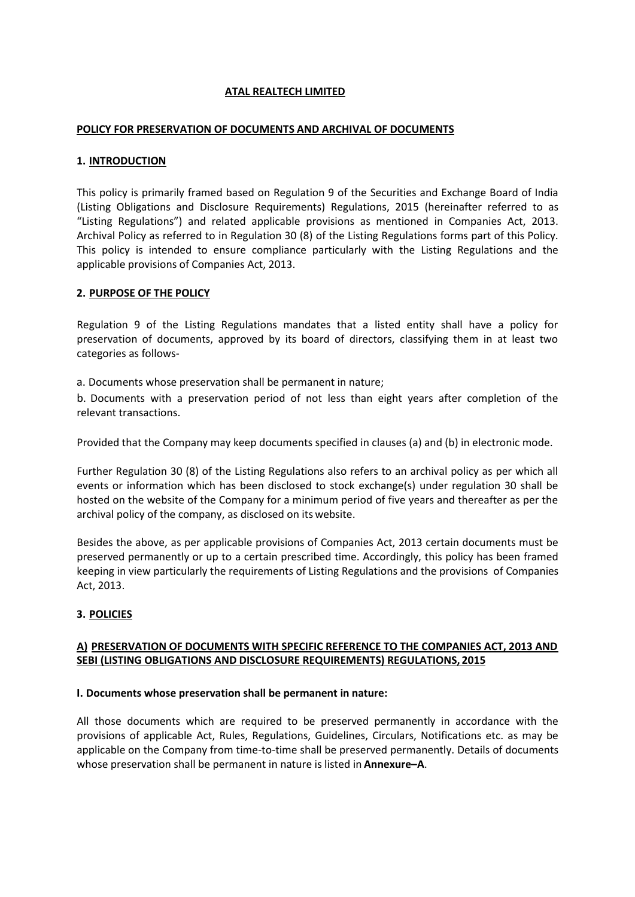### **ATAL REALTECH LIMITED**

### **POLICY FOR PRESERVATION OF DOCUMENTS AND ARCHIVAL OF DOCUMENTS**

### **1. INTRODUCTION**

This policy is primarily framed based on Regulation 9 of the Securities and Exchange Board of India (Listing Obligations and Disclosure Requirements) Regulations, 2015 (hereinafter referred to as "Listing Regulations") and related applicable provisions as mentioned in Companies Act, 2013. Archival Policy as referred to in Regulation 30 (8) of the Listing Regulations forms part of this Policy. This policy is intended to ensure compliance particularly with the Listing Regulations and the applicable provisions of Companies Act, 2013.

### **2. PURPOSE OF THE POLICY**

Regulation 9 of the Listing Regulations mandates that a listed entity shall have a policy for preservation of documents, approved by its board of directors, classifying them in at least two categories as follows-

a. Documents whose preservation shall be permanent in nature;

b. Documents with a preservation period of not less than eight years after completion of the relevant transactions.

Provided that the Company may keep documents specified in clauses (a) and (b) in electronic mode.

Further Regulation 30 (8) of the Listing Regulations also refers to an archival policy as per which all events or information which has been disclosed to stock exchange(s) under regulation 30 shall be hosted on the website of the Company for a minimum period of five years and thereafter as per the archival policy of the company, as disclosed on its website.

Besides the above, as per applicable provisions of Companies Act, 2013 certain documents must be preserved permanently or up to a certain prescribed time. Accordingly, this policy has been framed keeping in view particularly the requirements of Listing Regulations and the provisions of Companies Act, 2013.

### **3. POLICIES**

# **A) PRESERVATION OF DOCUMENTS WITH SPECIFIC REFERENCE TO THE COMPANIES ACT, 2013 AND SEBI (LISTING OBLIGATIONS AND DISCLOSURE REQUIREMENTS) REGULATIONS, 2015**

### **I. Documents whose preservation shall be permanent in nature:**

All those documents which are required to be preserved permanently in accordance with the provisions of applicable Act, Rules, Regulations, Guidelines, Circulars, Notifications etc. as may be applicable on the Company from time-to-time shall be preserved permanently. Details of documents whose preservation shall be permanent in nature is listed in **Annexure–A**.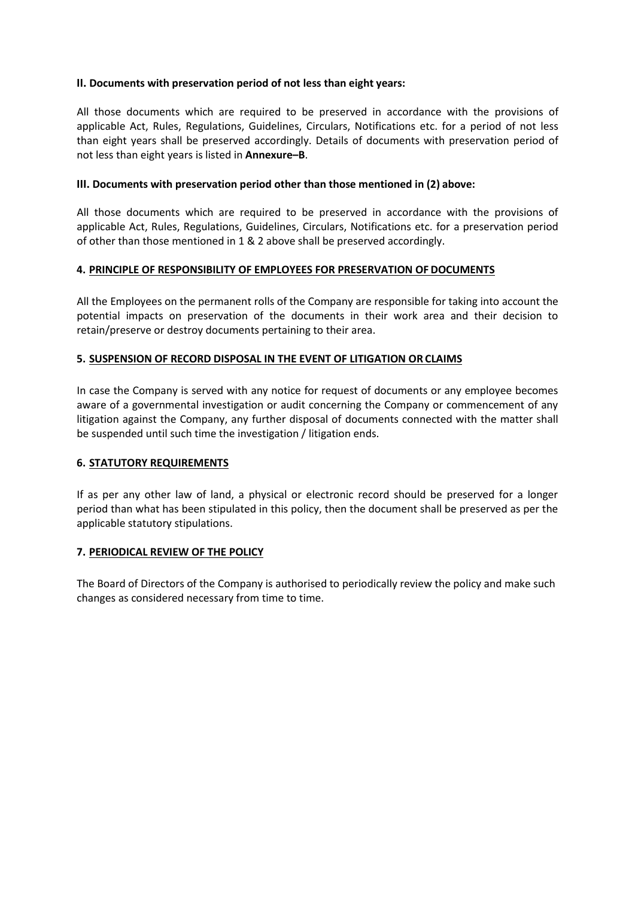# **II. Documents with preservation period of not less than eight years:**

All those documents which are required to be preserved in accordance with the provisions of applicable Act, Rules, Regulations, Guidelines, Circulars, Notifications etc. for a period of not less than eight years shall be preserved accordingly. Details of documents with preservation period of not less than eight years is listed in **Annexure–B**.

# **III. Documents with preservation period other than those mentioned in (2) above:**

All those documents which are required to be preserved in accordance with the provisions of applicable Act, Rules, Regulations, Guidelines, Circulars, Notifications etc. for a preservation period of other than those mentioned in 1 & 2 above shall be preserved accordingly.

### **4. PRINCIPLE OF RESPONSIBILITY OF EMPLOYEES FOR PRESERVATION OF DOCUMENTS**

All the Employees on the permanent rolls of the Company are responsible for taking into account the potential impacts on preservation of the documents in their work area and their decision to retain/preserve or destroy documents pertaining to their area.

# **5. SUSPENSION OF RECORD DISPOSAL IN THE EVENT OF LITIGATION OR CLAIMS**

In case the Company is served with any notice for request of documents or any employee becomes aware of a governmental investigation or audit concerning the Company or commencement of any litigation against the Company, any further disposal of documents connected with the matter shall be suspended until such time the investigation / litigation ends.

### **6. STATUTORY REQUIREMENTS**

If as per any other law of land, a physical or electronic record should be preserved for a longer period than what has been stipulated in this policy, then the document shall be preserved as per the applicable statutory stipulations.

### **7. PERIODICAL REVIEW OF THE POLICY**

The Board of Directors of the Company is authorised to periodically review the policy and make such changes as considered necessary from time to time.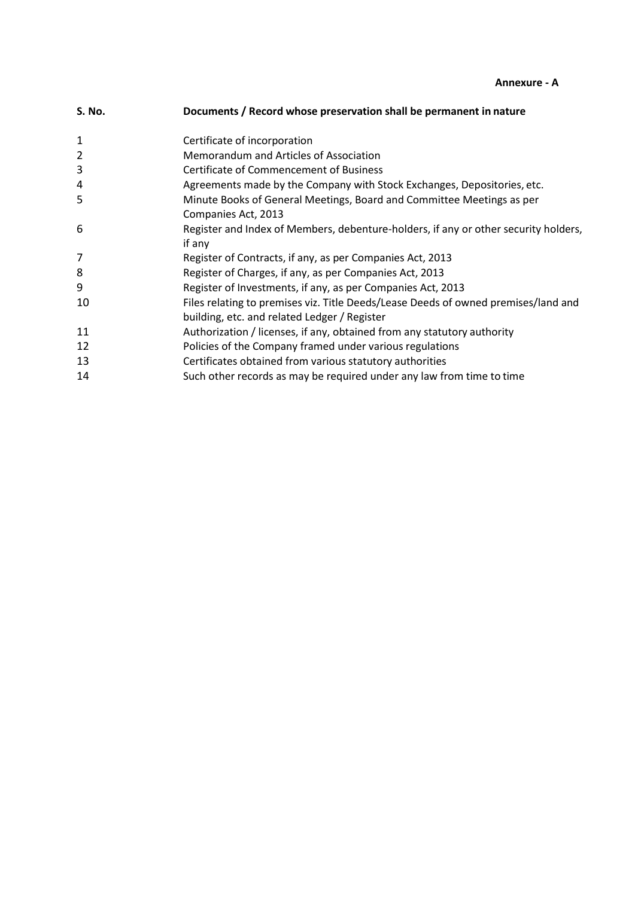**Annexure - A** 

| <b>S. No.</b>  | Documents / Record whose preservation shall be permanent in nature                                                                 |
|----------------|------------------------------------------------------------------------------------------------------------------------------------|
| $\mathbf{1}$   | Certificate of incorporation                                                                                                       |
| $\overline{2}$ | Memorandum and Articles of Association                                                                                             |
| 3              | <b>Certificate of Commencement of Business</b>                                                                                     |
| 4              | Agreements made by the Company with Stock Exchanges, Depositories, etc.                                                            |
| 5              | Minute Books of General Meetings, Board and Committee Meetings as per<br>Companies Act, 2013                                       |
| 6              | Register and Index of Members, debenture-holders, if any or other security holders,<br>if any                                      |
| 7              | Register of Contracts, if any, as per Companies Act, 2013                                                                          |
| 8              | Register of Charges, if any, as per Companies Act, 2013                                                                            |
| 9              | Register of Investments, if any, as per Companies Act, 2013                                                                        |
| 10             | Files relating to premises viz. Title Deeds/Lease Deeds of owned premises/land and<br>building, etc. and related Ledger / Register |
| 11             | Authorization / licenses, if any, obtained from any statutory authority                                                            |
| 12             | Policies of the Company framed under various regulations                                                                           |
| 13             | Certificates obtained from various statutory authorities                                                                           |
| 14             | Such other records as may be required under any law from time to time                                                              |